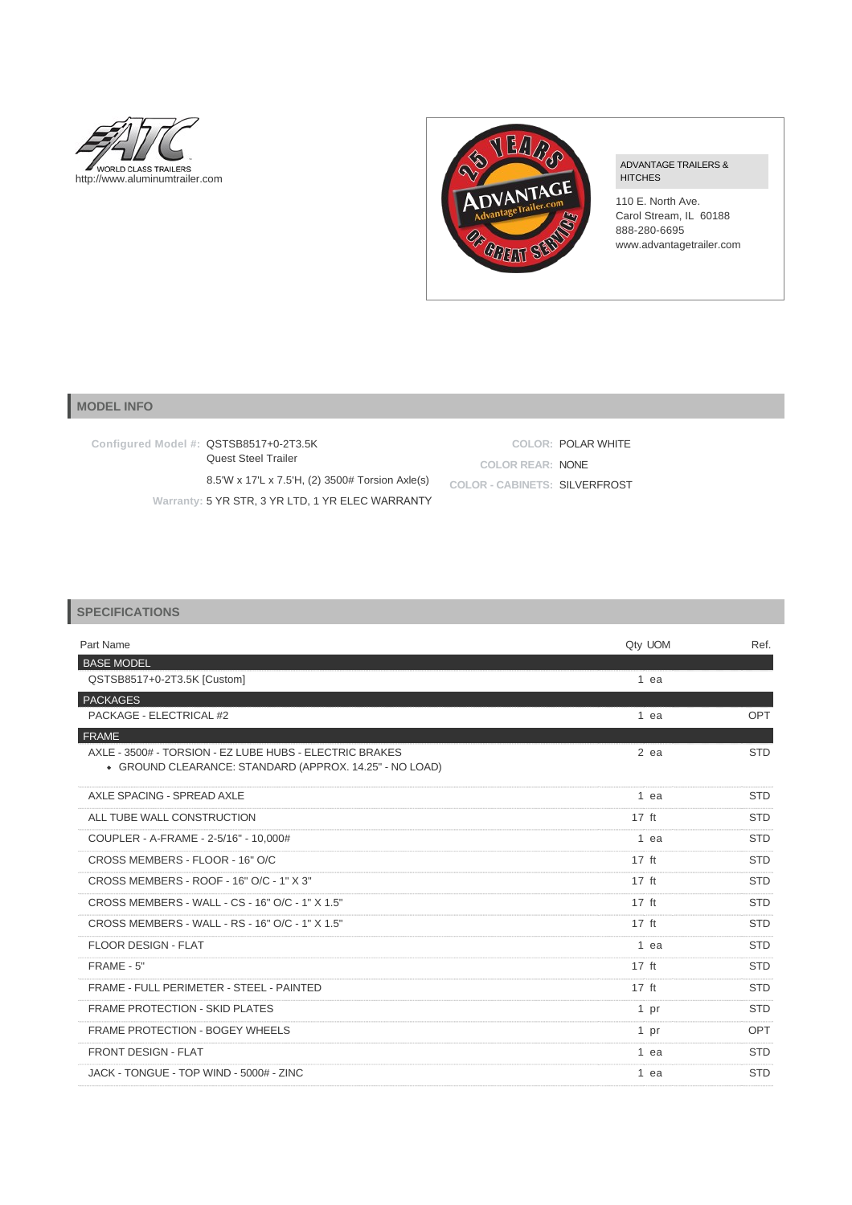



ADVANTAGE TRAILERS & HITCHES

110 E. North Ave. Carol Stream, IL 60188 888-280-6695 www.advantagetrailer.com

## **MODEL INFO**

| Configured Model #: QSTSB8517+0-2T3.5K<br>Quest Steel Trailer |                                      | COLOR: POLAR WHITE |
|---------------------------------------------------------------|--------------------------------------|--------------------|
|                                                               | COLOR REAR: NONE                     |                    |
| 8.5'W x 17'L x 7.5'H, (2) 3500# Torsion Axle(s)               | <b>COLOR - CABINETS: SILVERFROST</b> |                    |
| Warranty: 5 YR STR, 3 YR LTD, 1 YR ELEC WARRANTY              |                                      |                    |

## **SPECIFICATIONS**

| Part Name                                                                                                          | Qty UOM         | Ref.       |
|--------------------------------------------------------------------------------------------------------------------|-----------------|------------|
| <b>BASE MODEL</b><br>QSTSB8517+0-2T3.5K [Custom]                                                                   | $1$ ea          |            |
| <b>PACKAGES</b>                                                                                                    |                 |            |
| PACKAGE - ELECTRICAL #2                                                                                            | 1 ea            | OPT        |
| <b>FRAME</b>                                                                                                       |                 |            |
| AXLE - 3500# - TORSION - EZ LUBE HUBS - ELECTRIC BRAKES<br>• GROUND CLEARANCE: STANDARD (APPROX. 14.25" - NO LOAD) | $2$ ea          | <b>STD</b> |
| AXLE SPACING - SPREAD AXLE                                                                                         | $1$ ea          | <b>STD</b> |
| ALL TUBE WALL CONSTRUCTION                                                                                         | $17 \text{ ft}$ | <b>STD</b> |
| COUPLER - A-FRAME - 2-5/16" - 10.000#                                                                              | 1 ea            | <b>STD</b> |
| CROSS MEMBERS - FLOOR - 16" O/C                                                                                    | $17$ ft         | <b>STD</b> |
| CROSS MEMBERS - ROOF - 16" O/C - 1" X 3"                                                                           | $17$ ft         | <b>STD</b> |
| CROSS MEMBERS - WALL - CS - 16" O/C - 1" X 1.5"                                                                    | $17$ ft         | <b>STD</b> |
| CROSS MEMBERS - WALL - RS - 16" O/C - 1" X 1.5"                                                                    | $17$ ft         | <b>STD</b> |
| FLOOR DESIGN - FLAT                                                                                                | 1 ea            | <b>STD</b> |
| FRAME - 5"                                                                                                         | $17 \text{ ft}$ | <b>STD</b> |
| FRAME - FULL PERIMETER - STEEL - PAINTED                                                                           | $17 \text{ ft}$ | <b>STD</b> |
| <b>FRAME PROTECTION - SKID PLATES</b>                                                                              | 1 pr            | <b>STD</b> |
| <b>FRAME PROTECTION - BOGEY WHEELS</b>                                                                             | 1 <sub>pr</sub> | <b>OPT</b> |
| <b>FRONT DESIGN - FLAT</b>                                                                                         | 1 ea            | <b>STD</b> |
| JACK - TONGUE - TOP WIND - 5000# - ZINC                                                                            | 1 ea            | <b>STD</b> |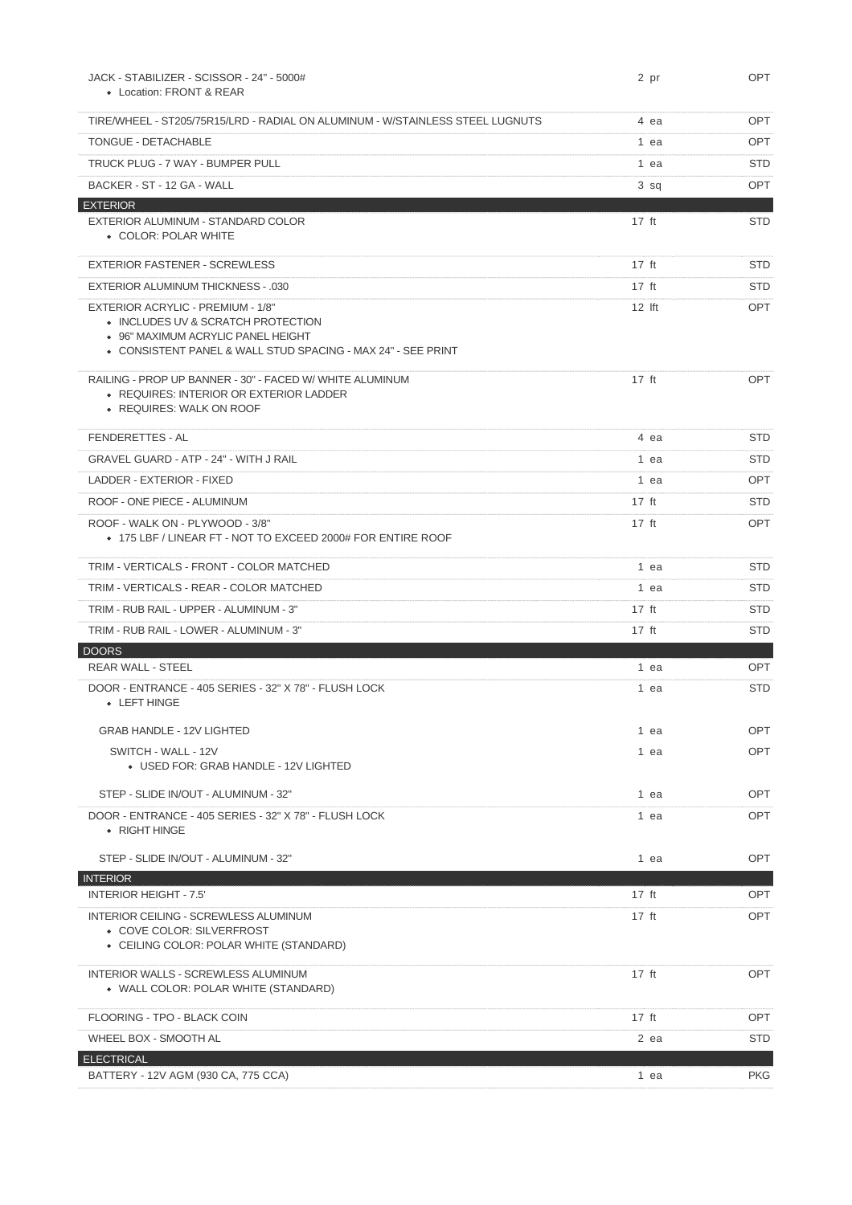| JACK - STABILIZER - SCISSOR - 24" - 5000#<br>• Location: FRONT & REAR                                                                                                         | 2 pr            | OPT        |
|-------------------------------------------------------------------------------------------------------------------------------------------------------------------------------|-----------------|------------|
|                                                                                                                                                                               |                 |            |
| TIRE/WHEEL - ST205/75R15/LRD - RADIAL ON ALUMINUM - W/STAINLESS STEEL LUGNUTS                                                                                                 | 4 ea            | OPT.       |
| <b>TONGUE - DETACHABLE</b>                                                                                                                                                    | 1 ea            | <b>OPT</b> |
| TRUCK PLUG - 7 WAY - BUMPER PULL                                                                                                                                              | 1 ea            | STD.       |
| BACKER - ST - 12 GA - WALL                                                                                                                                                    | $3$ sq          | <b>OPT</b> |
| <b>EXTERIOR</b><br>EXTERIOR ALUMINUM - STANDARD COLOR<br>• COLOR: POLAR WHITE                                                                                                 | $17$ ft         | <b>STD</b> |
| <b>EXTERIOR FASTENER - SCREWLESS</b>                                                                                                                                          | $17$ ft         | <b>STD</b> |
| <b>EXTERIOR ALUMINUM THICKNESS - .030</b>                                                                                                                                     | $17$ ft         | <b>STD</b> |
| EXTERIOR ACRYLIC - PREMIUM - 1/8"<br>• INCLUDES UV & SCRATCH PROTECTION<br>• 96" MAXIMUM ACRYLIC PANEL HEIGHT<br>• CONSISTENT PANEL & WALL STUD SPACING - MAX 24" - SEE PRINT | $12$ Ift        | <b>OPT</b> |
| RAILING - PROP UP BANNER - 30" - FACED W/ WHITE ALUMINUM<br>• REQUIRES: INTERIOR OR EXTERIOR LADDER<br>• REQUIRES: WALK ON ROOF                                               | $17$ ft         | <b>OPT</b> |
| <b>FENDERETTES - AL</b>                                                                                                                                                       | 4 ea            | <b>STD</b> |
| GRAVEL GUARD - ATP - 24" - WITH J RAIL                                                                                                                                        | 1 ea            | <b>STD</b> |
| LADDER - EXTERIOR - FIXED                                                                                                                                                     | 1 ea            | <b>OPT</b> |
| ROOF - ONE PIECE - ALUMINUM                                                                                                                                                   | $17 \text{ ft}$ | <b>STD</b> |
| ROOF - WALK ON - PLYWOOD - 3/8"<br>• 175 LBF / LINEAR FT - NOT TO EXCEED 2000# FOR ENTIRE ROOF                                                                                | $17$ ft         | <b>OPT</b> |
| TRIM - VERTICALS - FRONT - COLOR MATCHED                                                                                                                                      | 1 ea            | <b>STD</b> |
| TRIM - VERTICALS - REAR - COLOR MATCHED                                                                                                                                       | 1 ea            | <b>STD</b> |
| TRIM - RUB RAIL - UPPER - ALUMINUM - 3"                                                                                                                                       | $17 \text{ ft}$ | <b>STD</b> |
| TRIM - RUB RAIL - LOWER - ALUMINUM - 3"                                                                                                                                       | $17$ ft         | <b>STD</b> |
| <b>DOORS</b>                                                                                                                                                                  |                 |            |
| <b>REAR WALL - STEEL</b>                                                                                                                                                      | 1 ea            | <b>OPT</b> |
| DOOR - ENTRANCE - 405 SERIES - 32" X 78" - FLUSH LOCK<br>• LEFT HINGE                                                                                                         | 1 ea            | <b>STD</b> |
| <b>GRAB HANDLE - 12V LIGHTED</b>                                                                                                                                              | 1 ea            | OPT        |
| SWITCH - WALL - 12V<br>• USED FOR: GRAB HANDLE - 12V LIGHTED                                                                                                                  | 1 ea            | <b>OPT</b> |
| STEP - SLIDE IN/OUT - ALUMINUM - 32"                                                                                                                                          | 1 ea            | OPT        |
| DOOR - ENTRANCE - 405 SERIES - 32" X 78" - FLUSH LOCK<br>• RIGHT HINGE                                                                                                        | 1 ea            | <b>OPT</b> |
| STEP - SLIDE IN/OUT - ALUMINUM - 32"                                                                                                                                          | 1 ea            | <b>OPT</b> |
| <b>INTERIOR</b>                                                                                                                                                               |                 |            |
| <b>INTERIOR HEIGHT - 7.5'</b>                                                                                                                                                 | $17$ ft         | OPT        |
| <b>INTERIOR CEILING - SCREWLESS ALUMINUM</b><br>• COVE COLOR: SILVERFROST<br>• CEILING COLOR: POLAR WHITE (STANDARD)                                                          | $17 \text{ ft}$ | <b>OPT</b> |
| <b>INTERIOR WALLS - SCREWLESS ALUMINUM</b><br>• WALL COLOR: POLAR WHITE (STANDARD)                                                                                            | $17$ ft         | <b>OPT</b> |
| FLOORING - TPO - BLACK COIN                                                                                                                                                   | $17$ ft         | OPT        |
| WHEEL BOX - SMOOTH AL                                                                                                                                                         | 2 ea            | <b>STD</b> |
| <b>ELECTRICAL</b><br>BATTERY - 12V AGM (930 CA, 775 CCA)                                                                                                                      | 1 ea            | <b>PKG</b> |